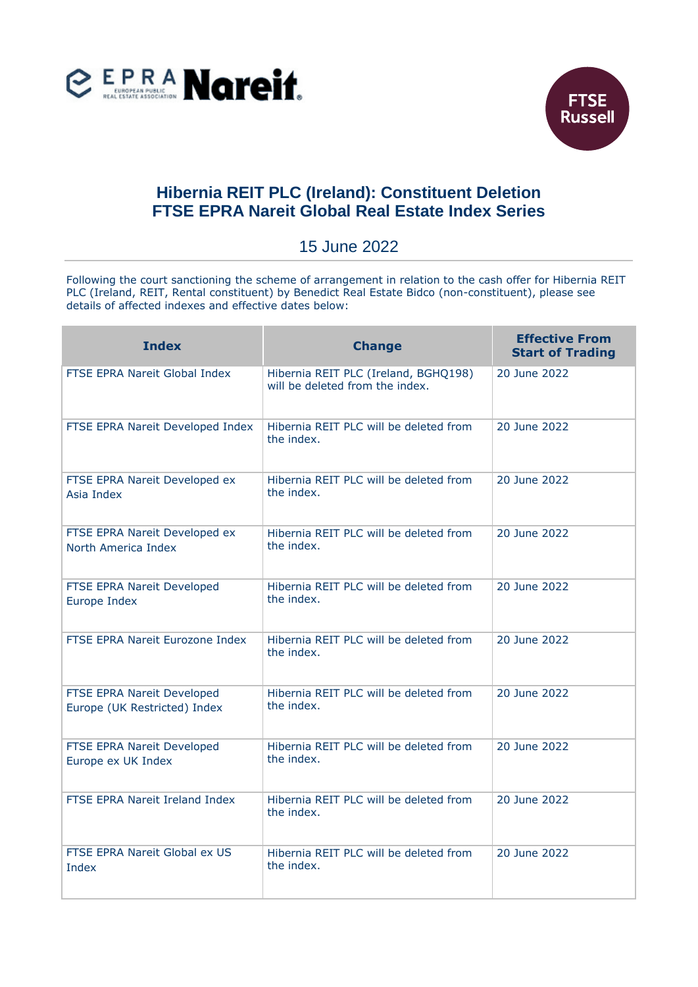



## **Hibernia REIT PLC (Ireland): Constituent Deletion FTSE EPRA Nareit Global Real Estate Index Series**

## 15 June 2022

Following the court sanctioning the scheme of arrangement in relation to the cash offer for Hibernia REIT PLC (Ireland, REIT, Rental constituent) by Benedict Real Estate Bidco (non-constituent), please see details of affected indexes and effective dates below:

| <b>Index</b>                                               | <b>Change</b>                                                           | <b>Effective From</b><br><b>Start of Trading</b> |
|------------------------------------------------------------|-------------------------------------------------------------------------|--------------------------------------------------|
| <b>FTSE EPRA Nareit Global Index</b>                       | Hibernia REIT PLC (Ireland, BGHQ198)<br>will be deleted from the index. | 20 June 2022                                     |
| FTSE EPRA Nareit Developed Index                           | Hibernia REIT PLC will be deleted from<br>the index.                    | 20 June 2022                                     |
| FTSE EPRA Nareit Developed ex<br>Asia Index                | Hibernia REIT PLC will be deleted from<br>the index.                    | 20 June 2022                                     |
| FTSE EPRA Nareit Developed ex<br>North America Index       | Hibernia REIT PLC will be deleted from<br>the index.                    | 20 June 2022                                     |
| FTSE EPRA Nareit Developed<br>Europe Index                 | Hibernia REIT PLC will be deleted from<br>the index.                    | 20 June 2022                                     |
| FTSE EPRA Nareit Eurozone Index                            | Hibernia REIT PLC will be deleted from<br>the index.                    | 20 June 2022                                     |
| FTSE EPRA Nareit Developed<br>Europe (UK Restricted) Index | Hibernia REIT PLC will be deleted from<br>the index.                    | 20 June 2022                                     |
| FTSE EPRA Nareit Developed<br>Europe ex UK Index           | Hibernia REIT PLC will be deleted from<br>the index.                    | 20 June 2022                                     |
| FTSE EPRA Nareit Ireland Index                             | Hibernia REIT PLC will be deleted from<br>the index.                    | 20 June 2022                                     |
| <b>FTSE EPRA Nareit Global ex US</b><br>Index              | Hibernia REIT PLC will be deleted from<br>the index.                    | 20 June 2022                                     |